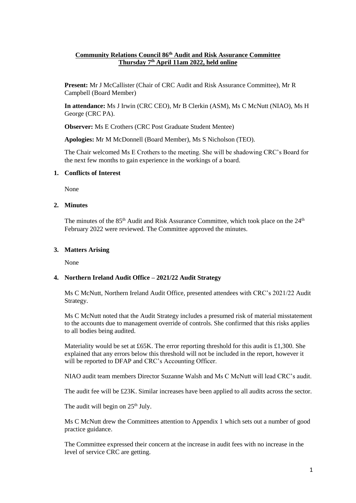## **Community Relations Council 86th Audit and Risk Assurance Committee Thursday 7 th April 11am 2022, held online**

**Present:** Mr J McCallister (Chair of CRC Audit and Risk Assurance Committee), Mr R Campbell (Board Member)

**In attendance:** Ms J Irwin (CRC CEO), Mr B Clerkin (ASM), Ms C McNutt (NIAO), Ms H George (CRC PA).

**Observer:** Ms E Crothers (CRC Post Graduate Student Mentee)

**Apologies:** Mr M McDonnell (Board Member), Ms S Nicholson (TEO).

The Chair welcomed Ms E Crothers to the meeting. She will be shadowing CRC's Board for the next few months to gain experience in the workings of a board.

### **1. Conflicts of Interest**

None

### **2. Minutes**

The minutes of the 85<sup>th</sup> Audit and Risk Assurance Committee, which took place on the 24<sup>th</sup> February 2022 were reviewed. The Committee approved the minutes.

### **3. Matters Arising**

None

# **4. Northern Ireland Audit Office – 2021/22 Audit Strategy**

Ms C McNutt, Northern Ireland Audit Office, presented attendees with CRC's 2021/22 Audit Strategy.

Ms C McNutt noted that the Audit Strategy includes a presumed risk of material misstatement to the accounts due to management override of controls. She confirmed that this risks applies to all bodies being audited.

Materiality would be set at £65K. The error reporting threshold for this audit is £1,300. She explained that any errors below this threshold will not be included in the report, however it will be reported to DFAP and CRC's Accounting Officer.

NIAO audit team members Director Suzanne Walsh and Ms C McNutt will lead CRC's audit.

The audit fee will be £23K. Similar increases have been applied to all audits across the sector.

The audit will begin on  $25<sup>th</sup>$  July.

Ms C McNutt drew the Committees attention to Appendix 1 which sets out a number of good practice guidance.

The Committee expressed their concern at the increase in audit fees with no increase in the level of service CRC are getting.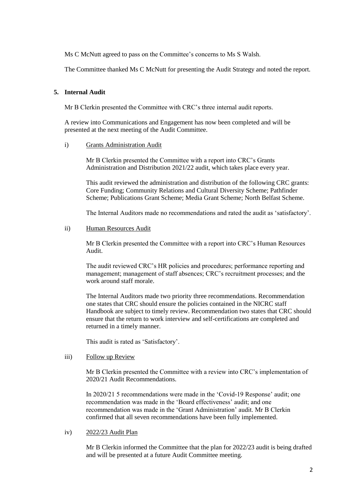Ms C McNutt agreed to pass on the Committee's concerns to Ms S Walsh.

The Committee thanked Ms C McNutt for presenting the Audit Strategy and noted the report.

### **5. Internal Audit**

Mr B Clerkin presented the Committee with CRC's three internal audit reports.

A review into Communications and Engagement has now been completed and will be presented at the next meeting of the Audit Committee.

#### i) Grants Administration Audit

Mr B Clerkin presented the Committee with a report into CRC's Grants Administration and Distribution 2021/22 audit, which takes place every year.

This audit reviewed the administration and distribution of the following CRC grants: Core Funding; Community Relations and Cultural Diversity Scheme; Pathfinder Scheme; Publications Grant Scheme; Media Grant Scheme; North Belfast Scheme.

The Internal Auditors made no recommendations and rated the audit as 'satisfactory'.

### ii) Human Resources Audit

Mr B Clerkin presented the Committee with a report into CRC's Human Resources Audit.

The audit reviewed CRC's HR policies and procedures; performance reporting and management; management of staff absences; CRC's recruitment processes; and the work around staff morale.

The Internal Auditors made two priority three recommendations. Recommendation one states that CRC should ensure the policies contained in the NICRC staff Handbook are subject to timely review. Recommendation two states that CRC should ensure that the return to work interview and self-certifications are completed and returned in a timely manner.

This audit is rated as 'Satisfactory'.

### iii) Follow up Review

Mr B Clerkin presented the Committee with a review into CRC's implementation of 2020/21 Audit Recommendations.

In 2020/21 5 recommendations were made in the 'Covid-19 Response' audit; one recommendation was made in the 'Board effectiveness' audit; and one recommendation was made in the 'Grant Administration' audit. Mr B Clerkin confirmed that all seven recommendations have been fully implemented.

### iv) 2022/23 Audit Plan

Mr B Clerkin informed the Committee that the plan for 2022/23 audit is being drafted and will be presented at a future Audit Committee meeting.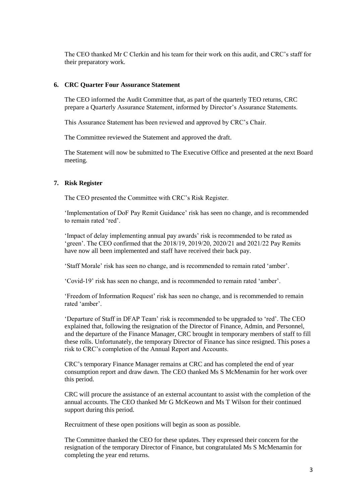The CEO thanked Mr C Clerkin and his team for their work on this audit, and CRC's staff for their preparatory work.

#### **6. CRC Quarter Four Assurance Statement**

The CEO informed the Audit Committee that, as part of the quarterly TEO returns, CRC prepare a Quarterly Assurance Statement, informed by Director's Assurance Statements.

This Assurance Statement has been reviewed and approved by CRC's Chair.

The Committee reviewed the Statement and approved the draft.

The Statement will now be submitted to The Executive Office and presented at the next Board meeting.

#### **7. Risk Register**

The CEO presented the Committee with CRC's Risk Register.

'Implementation of DoF Pay Remit Guidance' risk has seen no change, and is recommended to remain rated 'red'.

'Impact of delay implementing annual pay awards' risk is recommended to be rated as 'green'. The CEO confirmed that the 2018/19, 2019/20, 2020/21 and 2021/22 Pay Remits have now all been implemented and staff have received their back pay.

'Staff Morale' risk has seen no change, and is recommended to remain rated 'amber'.

'Covid-19' risk has seen no change, and is recommended to remain rated 'amber'.

'Freedom of Information Request' risk has seen no change, and is recommended to remain rated 'amber'.

'Departure of Staff in DFAP Team' risk is recommended to be upgraded to 'red'. The CEO explained that, following the resignation of the Director of Finance, Admin, and Personnel, and the departure of the Finance Manager, CRC brought in temporary members of staff to fill these rolls. Unfortunately, the temporary Director of Finance has since resigned. This poses a risk to CRC's completion of the Annual Report and Accounts.

CRC's temporary Finance Manager remains at CRC and has completed the end of year consumption report and draw dawn. The CEO thanked Ms S McMenamin for her work over this period.

CRC will procure the assistance of an external accountant to assist with the completion of the annual accounts. The CEO thanked Mr G McKeown and Ms T Wilson for their continued support during this period.

Recruitment of these open positions will begin as soon as possible.

The Committee thanked the CEO for these updates. They expressed their concern for the resignation of the temporary Director of Finance, but congratulated Ms S McMenamin for completing the year end returns.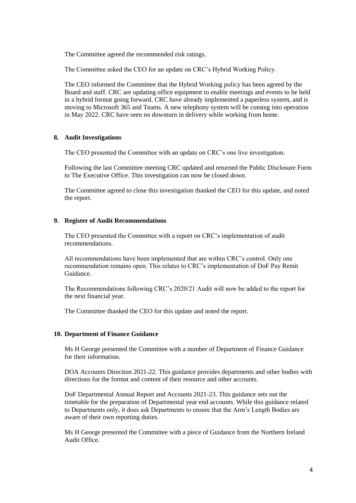The Committee agreed the recommended risk ratings.

The Committee asked the CEO for an update on CRC's Hybrid Working Policy.

The CEO informed the Committee that the Hybrid Working policy has been agreed by the Board and staff. CRC are updating office equipment to enable meetings and events to be held in a hybrid format going forward. CRC have already implemented a paperless system, and is moving to Microsoft 365 and Teams. A new telephony system will be coming into operation in May 2022. CRC have seen no downturn in delivery while working from home.

#### **8. Audit Investigations**

The CEO presented the Committee with an update on CRC's one live investigation.

Following the last Committee meeting CRC updated and returned the Public Disclosure Form to The Executive Office. This investigation can now be closed down.

The Committee agreed to close this investigation thanked the CEO for this update, and noted the report.

### **9. Register of Audit Recommendations**

The CEO presented the Committee with a report on CRC's implementation of audit recommendations.

All recommendations have been implemented that are within CRC's control. Only one recommendation remains open. This relates to CRC's implementation of DoF Pay Remit Guidance.

The Recommendations following CRC's 2020/21 Audit will now be added to the report for the next financial year.

The Committee thanked the CEO for this update and noted the report.

#### **10. Department of Finance Guidance**

Ms H George presented the Committee with a number of Department of Finance Guidance for their information.

DOA Accounts Direction 2021-22. This guidance provides departments and other bodies with directions for the format and content of their resource and other accounts.

DoF Departmental Annual Report and Accounts 2021-23. This guidance sets out the timetable for the preparation of Departmental year end accounts. While this guidance related to Departments only, it does ask Departments to ensure that the Arm's Length Bodies are aware of their own reporting duties.

Ms H George presented the Committee with a piece of Guidance from the Northern Ireland Audit Office.